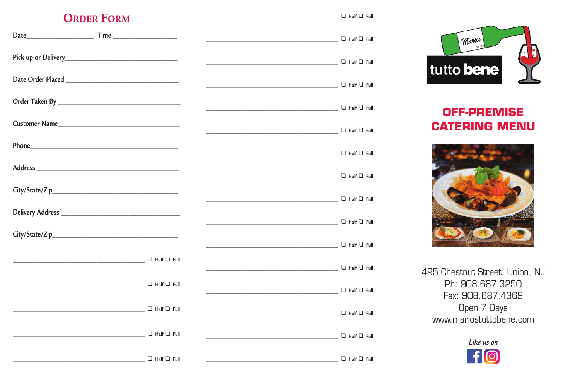## **ORDER FORM**

| $\Box$ Half $\Box$ Full |  |
|-------------------------|--|
|                         |  |

| Date Order Placed                                                                                                                                                                                                              |                                           |                                |
|--------------------------------------------------------------------------------------------------------------------------------------------------------------------------------------------------------------------------------|-------------------------------------------|--------------------------------|
|                                                                                                                                                                                                                                |                                           |                                |
| Customer Name                                                                                                                                                                                                                  | ——————————————————————————— □ Half □ Full |                                |
| Phone experience and the state of the state of the state of the state of the state of the state of the state of the state of the state of the state of the state of the state of the state of the state of the state of the st | ——————————————————————————— □ Half □ Full |                                |
|                                                                                                                                                                                                                                |                                           |                                |
|                                                                                                                                                                                                                                |                                           |                                |
|                                                                                                                                                                                                                                |                                           |                                |
|                                                                                                                                                                                                                                |                                           | $\Box$ $\Box$ Half $\Box$ Full |
| $\Box$ Half $\Box$ Full                                                                                                                                                                                                        |                                           | $\Box$ Half $\Box$ Full        |
| $\Box$ Half $\Box$ Full                                                                                                                                                                                                        |                                           | $\Box$ Half $\Box$ Full        |
| $\Box$ Half $\Box$ Full                                                                                                                                                                                                        |                                           | $\Box$ Half $\Box$ Full        |
| $\Box$ Half $\Box$ Full                                                                                                                                                                                                        |                                           | $\Box$ Half $\Box$ Full        |
| $\Box$ Half $\Box$ Full                                                                                                                                                                                                        |                                           | $\Box$ Half $\Box$ Full        |



# **OFF-PREMISE CATERING MENU**



495 Chestnut Street, Union, NJ Ph: 908.687.3250 Fax: 908.687.4369 Open 7 Days www.mariostuttobene.com